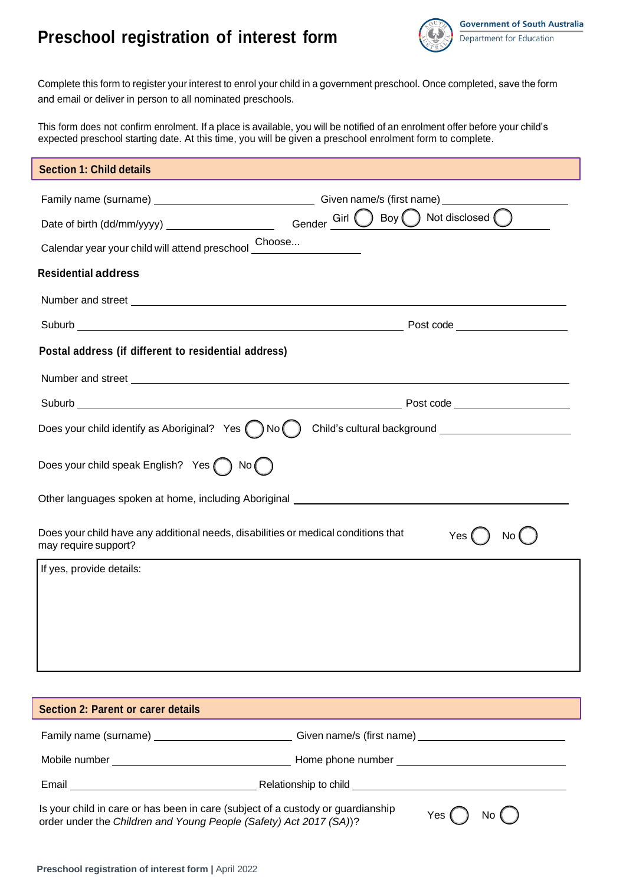## **Preschool registration of interest form**



Complete this form to register your interest to enrol your child in a government preschool. Once completed, save the form and email or deliver in person to all nominated preschools.

This form does not confirm enrolment. If a place is available, you will be notified of an enrolment offer before your child's expected preschool starting date. At this time, you will be given a preschool enrolment form to complete.

| <b>Section 1: Child details</b>                                                                                          |                                                                                                      |  |
|--------------------------------------------------------------------------------------------------------------------------|------------------------------------------------------------------------------------------------------|--|
| Date of birth (dd/mm/yyyy) _____________________<br>Calendar year your child will attend preschool Choose                | Boy $\binom{ }{ }$ Not disclosed $\binom{ }{ }$<br>Gender <sup>Cirl</sup>                            |  |
| <b>Residential address</b>                                                                                               |                                                                                                      |  |
|                                                                                                                          |                                                                                                      |  |
|                                                                                                                          |                                                                                                      |  |
| Postal address (if different to residential address)                                                                     |                                                                                                      |  |
|                                                                                                                          |                                                                                                      |  |
|                                                                                                                          |                                                                                                      |  |
| Does your child identify as Aboriginal? Yes $\bigcirc$ No $\bigcirc$                                                     |                                                                                                      |  |
| Does your child speak English? Yes<br>) No (                                                                             |                                                                                                      |  |
| Other languages spoken at home, including Aboriginal ____________________________                                        |                                                                                                      |  |
| Does your child have any additional needs, disabilities or medical conditions that<br>Yes<br>No.<br>may require support? |                                                                                                      |  |
| If yes, provide details:                                                                                                 |                                                                                                      |  |
|                                                                                                                          |                                                                                                      |  |
| <b>Section 2: Parent or carer details</b>                                                                                |                                                                                                      |  |
|                                                                                                                          | Family name (surname) _____________________________Given name/s (first name) _______________________ |  |
|                                                                                                                          |                                                                                                      |  |

Email **Email** Relationship to child

Is your child in care or has been in care (subject of a custody or guardianship order under the *Children and Young People (Safety) Act 2017 (SA)*)? Yes  $\bigcap$  No  $\bigcap$